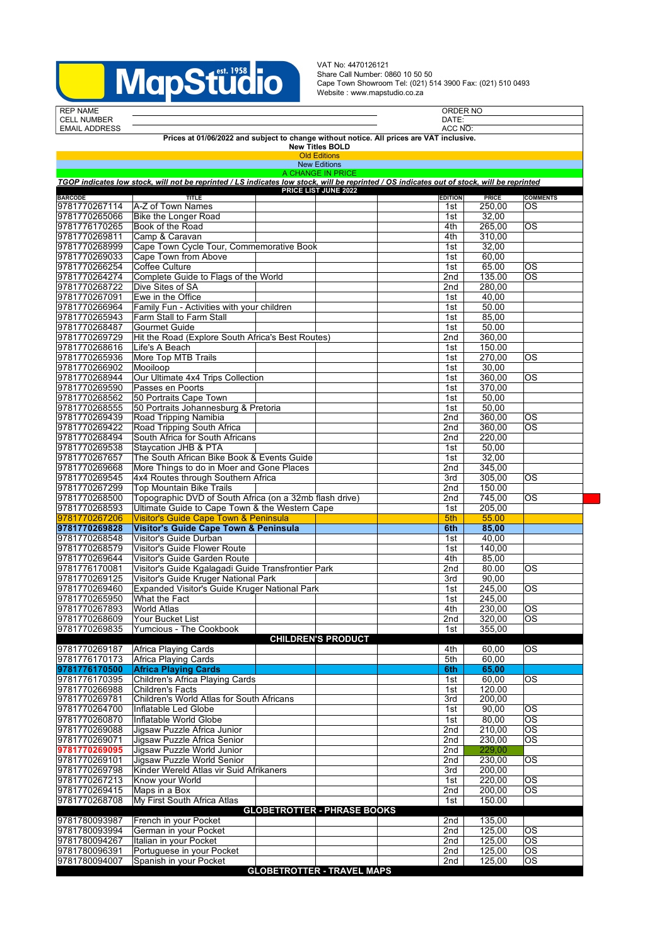

VAT No: 4470126121 Share Call Number: 0860 10 50 50 Cape Town Showroom Tel: (021) 514 3900 Fax: (021) 510 0493 Website : www.mapstudio.co.za

| <b>REP NAME</b>                                                                          |                                                                                                                                            |  |                                    |  |                | ORDER NO     |                        |  |
|------------------------------------------------------------------------------------------|--------------------------------------------------------------------------------------------------------------------------------------------|--|------------------------------------|--|----------------|--------------|------------------------|--|
| <b>CELL NUMBER</b>                                                                       |                                                                                                                                            |  |                                    |  | DATE:          |              |                        |  |
| <b>EMAIL ADDRESS</b>                                                                     |                                                                                                                                            |  |                                    |  | ACC NO:        |              |                        |  |
| Prices at 01/06/2022 and subject to change without notice. All prices are VAT inclusive. |                                                                                                                                            |  |                                    |  |                |              |                        |  |
| <b>New Titles BOLD</b><br><b>Old Editions</b>                                            |                                                                                                                                            |  |                                    |  |                |              |                        |  |
| <b>New Editions</b>                                                                      |                                                                                                                                            |  |                                    |  |                |              |                        |  |
| A CHANGE IN PRICE                                                                        |                                                                                                                                            |  |                                    |  |                |              |                        |  |
|                                                                                          | TGOP indicates low stock, will not be reprinted / LS indicates low stock, will be reprinted / OS indicates out of stock, will be reprinted |  |                                    |  |                |              |                        |  |
|                                                                                          |                                                                                                                                            |  | PRICE LIST JUNE 2022               |  |                |              |                        |  |
| <b>BARCODE</b>                                                                           | <b>TITLE</b>                                                                                                                               |  |                                    |  | <b>EDITION</b> | <b>PRICE</b> | <b>COMMENTS</b>        |  |
| 9781770267114                                                                            | A-Z of Town Names                                                                                                                          |  |                                    |  | 1st            | 250,00       | ОS                     |  |
| 9781770265066                                                                            | Bike the Longer Road                                                                                                                       |  |                                    |  | 1st            | 32,00        |                        |  |
| 9781776170265                                                                            | Book of the Road                                                                                                                           |  |                                    |  | 4th            | 265,00       | <b>OS</b>              |  |
| 9781770269811                                                                            | Camp & Caravan                                                                                                                             |  |                                    |  | 4th            | 310,00       |                        |  |
| 9781770268999                                                                            | Cape Town Cycle Tour, Commemorative Book                                                                                                   |  |                                    |  | 1st            | 32,00        |                        |  |
| 9781770269033                                                                            | Cape Town from Above                                                                                                                       |  |                                    |  | 1st            | 60,00        |                        |  |
| 9781770266254                                                                            | Coffee Culture                                                                                                                             |  |                                    |  | 1st            | 65.00        | OS                     |  |
| 9781770264274                                                                            | Complete Guide to Flags of the World                                                                                                       |  |                                    |  | 2nd            | 135.00       | <b>OS</b>              |  |
| 9781770268722                                                                            | Dive Sites of SA                                                                                                                           |  |                                    |  | 2nd            | 280,00       |                        |  |
| 9781770267091                                                                            | Ewe in the Office                                                                                                                          |  |                                    |  | 1st            | 40,00        |                        |  |
| 9781770266964                                                                            | Family Fun - Activities with your children                                                                                                 |  |                                    |  | 1st            | 50.00        |                        |  |
| 9781770265943                                                                            | Farm Stall to Farm Stall                                                                                                                   |  |                                    |  | 1st            | 85,00        |                        |  |
| 9781770268487                                                                            | Gourmet Guide                                                                                                                              |  |                                    |  | 1st            | 50.00        |                        |  |
| 9781770269729                                                                            | Hit the Road (Explore South Africa's Best Routes)                                                                                          |  |                                    |  | 2nd            | 360.00       |                        |  |
| 9781770268616                                                                            | Life's A Beach                                                                                                                             |  |                                    |  | 1st            | 150.00       |                        |  |
| 9781770265936                                                                            | More Top MTB Trails                                                                                                                        |  |                                    |  | 1st            | 270,00       | <b>OS</b>              |  |
| 9781770266902                                                                            | Mooiloop                                                                                                                                   |  |                                    |  | 1st            | 30,00        |                        |  |
| 9781770268944                                                                            | Our Ultimate 4x4 Trips Collection                                                                                                          |  |                                    |  | 1st            | 360,00       | ОS                     |  |
| 9781770269590                                                                            | Passes en Poorts                                                                                                                           |  |                                    |  | 1st            | 370,00       |                        |  |
| 9781770268562                                                                            | 50 Portraits Cape Town                                                                                                                     |  |                                    |  | 1st            | 50,00        |                        |  |
| 9781770268555                                                                            | 50 Portraits Johannesburg & Pretoria                                                                                                       |  |                                    |  | 1st            | 50,00        |                        |  |
| 9781770269439                                                                            | Road Tripping Namibia                                                                                                                      |  |                                    |  | 2nd            | 360,00       | ОS                     |  |
| 9781770269422                                                                            | Road Tripping South Africa                                                                                                                 |  |                                    |  | 2nd            | 360,00       | OS                     |  |
| 9781770268494                                                                            | South Africa for South Africans                                                                                                            |  |                                    |  | 2nd            | 220,00       |                        |  |
| 9781770269538                                                                            | Staycation JHB & PTA                                                                                                                       |  |                                    |  | 1st            | 50,00        |                        |  |
| 9781770267657                                                                            | The South African Bike Book & Events Guide                                                                                                 |  |                                    |  | 1st            | 32,00        |                        |  |
| 9781770269668                                                                            | More Things to do in Moer and Gone Places                                                                                                  |  |                                    |  | 2nd            | 345,00       |                        |  |
| 9781770269545                                                                            | 4x4 Routes through Southern Africa                                                                                                         |  |                                    |  | 3rd            | 305,00       | ОS                     |  |
| 9781770267299                                                                            | <b>Top Mountain Bike Trails</b>                                                                                                            |  |                                    |  | 2nd            | 150.00       |                        |  |
| 9781770268500                                                                            | Topographic DVD of South Africa (on a 32mb flash drive)                                                                                    |  |                                    |  | 2nd            | 745,00       | ОS                     |  |
| 9781770268593                                                                            | Ultimate Guide to Cape Town & the Western Cape                                                                                             |  |                                    |  | 1st            | 205,00       |                        |  |
| 9781770267206                                                                            | <b>Visitor's Guide Cape Town &amp; Peninsula</b>                                                                                           |  |                                    |  | 5th            | 55.00        |                        |  |
| 9781770269828                                                                            | Visitor's Guide Cape Town & Peninsula                                                                                                      |  |                                    |  | 6th            | 85,00        |                        |  |
| 9781770268548                                                                            | Visitor's Guide Durban                                                                                                                     |  |                                    |  | 1st            | 40,00        |                        |  |
| 9781770268579                                                                            | Visitor's Guide Flower Route                                                                                                               |  |                                    |  | 1st            | 140,00       |                        |  |
| 9781770269644                                                                            | Visitor's Guide Garden Route                                                                                                               |  |                                    |  | 4th            | 85,00        |                        |  |
| 9781776170081                                                                            | Visitor's Guide Kgalagadi Guide Transfrontier Park                                                                                         |  |                                    |  | 2nd            | 80.00        | <b>OS</b>              |  |
| 9781770269125                                                                            | Visitor's Guide Kruger National Park                                                                                                       |  |                                    |  | 3rd            | 90,00        |                        |  |
|                                                                                          |                                                                                                                                            |  |                                    |  |                |              |                        |  |
| 9781770269460                                                                            | Expanded Visitor's Guide Kruger National Park                                                                                              |  |                                    |  | 1st            | 245.00       | <b>OS</b>              |  |
| 9781770265950                                                                            | What the Fact                                                                                                                              |  |                                    |  | 1st            | 245,00       |                        |  |
| 9781770267893                                                                            | <b>World Atlas</b>                                                                                                                         |  |                                    |  | 4th            | 230,00       | $\overline{\text{os}}$ |  |
| 9781770268609                                                                            | Your Bucket List                                                                                                                           |  |                                    |  | 2nd            | 320,00       | $\overline{\text{os}}$ |  |
| 9781770269835                                                                            | Yumcious - The Cookbook                                                                                                                    |  |                                    |  | 1st            | 355,00       |                        |  |
|                                                                                          |                                                                                                                                            |  | <b>CHILDREN'S PRODUCT</b>          |  |                |              |                        |  |
| 9781770269187                                                                            | Africa Playing Cards                                                                                                                       |  |                                    |  | 4th            | 60.00        | <b>OS</b>              |  |
| 9781776170173                                                                            | Africa Playing Cards                                                                                                                       |  |                                    |  | 5th            | 60,00        |                        |  |
| 9781776170500                                                                            | <b>Africa Playing Cards</b>                                                                                                                |  |                                    |  | 6th            | 65.00        |                        |  |
| 9781776170395                                                                            | Children's Africa Playing Cards                                                                                                            |  |                                    |  | 1st            | 60,00        | ОS                     |  |
| 9781770266988                                                                            | Children's Facts                                                                                                                           |  |                                    |  | 1st            | 120.00       |                        |  |
| 9781770269781                                                                            | Children's World Atlas for South Africans                                                                                                  |  |                                    |  | 3rd            | 200,00       |                        |  |
| 9781770264700                                                                            | Inflatable Led Globe                                                                                                                       |  |                                    |  | 1st            | 90,00        | $\overline{\text{os}}$ |  |
| 9781770260870                                                                            | Inflatable World Globe                                                                                                                     |  |                                    |  | 1st            | 80,00        | OS                     |  |
| 9781770269088                                                                            | Jigsaw Puzzle Africa Junior                                                                                                                |  |                                    |  | 2nd            | 210,00       | $\overline{\text{os}}$ |  |
| 9781770269071                                                                            | Jigsaw Puzzle Africa Senior                                                                                                                |  |                                    |  | 2nd            | 230,00       | <b>OS</b>              |  |
| 9781770269095                                                                            | Jigsaw Puzzle World Junior                                                                                                                 |  |                                    |  | 2nd            | 229,00       |                        |  |
| 9781770269101                                                                            | Jigsaw Puzzle World Senior                                                                                                                 |  |                                    |  | 2nd            | 230,00       | $\overline{\text{os}}$ |  |
| 9781770269798                                                                            | Kinder Wereld Atlas vir Suid Afrikaners                                                                                                    |  |                                    |  | 3rd            | 200,00       |                        |  |
| 9781770267213                                                                            | Know your World                                                                                                                            |  |                                    |  | 1st            | 220,00       | ОS                     |  |
| 9781770269415                                                                            | Maps in a Box                                                                                                                              |  |                                    |  | 2nd            | 200,00       | <b>OS</b>              |  |
| 9781770268708                                                                            | My First South Africa Atlas                                                                                                                |  |                                    |  | 1st            | 150.00       |                        |  |
|                                                                                          |                                                                                                                                            |  | <b>GLOBETROTTER - PHRASE BOOKS</b> |  |                |              |                        |  |
| 9781780093987                                                                            | French in your Pocket                                                                                                                      |  |                                    |  | 2nd            | 135,00       |                        |  |
| 9781780093994                                                                            | German in your Pocket                                                                                                                      |  |                                    |  | 2nd            | 125,00       | <b>OS</b>              |  |
| 9781780094267                                                                            | Italian in your Pocket                                                                                                                     |  |                                    |  | 2nd            | 125,00       | <b>OS</b>              |  |
| 9781780096391                                                                            | Portuguese in your Pocket                                                                                                                  |  |                                    |  | 2nd            | 125,00       | OS                     |  |
| 9781780094007                                                                            | Spanish in your Pocket                                                                                                                     |  |                                    |  | 2nd            | 125,00       | $\overline{\text{os}}$ |  |
|                                                                                          |                                                                                                                                            |  | <b>GLOBETROTTER - TRAVEL MAPS</b>  |  |                |              |                        |  |
|                                                                                          |                                                                                                                                            |  |                                    |  |                |              |                        |  |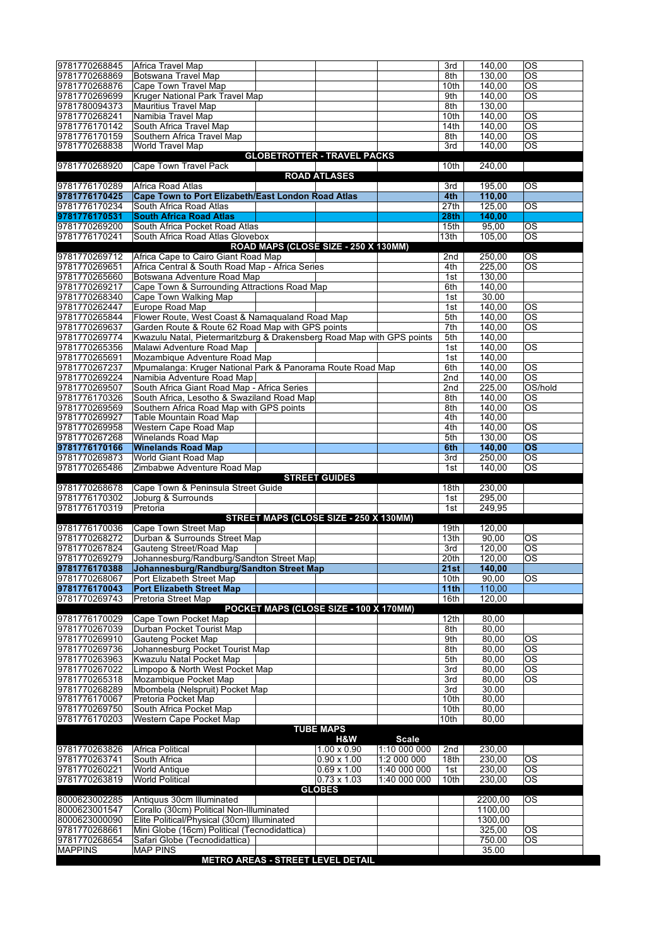| 9781770268845                   | Africa Travel Map                                                        | 3rd              | 140,00          | <b>OS</b>                    |
|---------------------------------|--------------------------------------------------------------------------|------------------|-----------------|------------------------------|
| 9781770268869                   | Botswana Travel Map                                                      | 8th              | 130,00          | OS                           |
| 9781770268876                   | Cape Town Travel Map                                                     | 10th             | 140,00          | $\overline{\text{os}}$       |
| 9781770269699                   | Kruger National Park Travel Map                                          | 9th              | 140,00          | <b>OS</b>                    |
| 9781780094373                   | <b>Mauritius Travel Map</b>                                              | 8th              | 130,00          |                              |
| 9781770268241                   | Namibia Travel Map                                                       | 10th             | 140,00          | OS                           |
| 9781776170142                   | South Africa Travel Map                                                  | 14th             | 140,00          | <b>OS</b>                    |
| 9781776170159                   | Southern Africa Travel Map                                               | 8th              | 140,00          | <b>OS</b>                    |
| 9781770268838                   | <b>World Travel Map</b>                                                  | 3rd              | 140,00          | <b>OS</b>                    |
|                                 | <b>GLOBETROTTER - TRAVEL PACKS</b>                                       |                  |                 |                              |
| 9781770268920                   | Cape Town Travel Pack                                                    | 10th             | 240,00          |                              |
|                                 | <b>ROAD ATLASES</b>                                                      |                  |                 |                              |
| 9781776170289                   | Africa Road Atlas                                                        | 3rd              | 195,00          | OS                           |
| 9781776170425                   | <b>Cape Town to Port Elizabeth/East London Road Atlas</b>                | 4th              | 110,00          |                              |
| 9781776170234                   | South Africa Road Atlas                                                  | 27th             | 125,00          | $\overline{\text{os}}$       |
| 9781776170531                   | <b>South Africa Road Atlas</b>                                           | 28 <sub>th</sub> | 140.00          |                              |
| 9781770269200<br>9781776170241  | South Africa Pocket Road Atlas                                           | 15 <sub>th</sub> | 95,00           | OS<br>$\overline{\text{os}}$ |
|                                 | South Africa Road Atlas Glovebox<br>ROAD MAPS (CLOSE SIZE - 250 X 130MM) | 13 <sub>th</sub> | 105,00          |                              |
| 9781770269712                   | Africa Cape to Cairo Giant Road Map                                      | 2nd              | 250,00          | ОS                           |
| 9781770269651                   | Africa Central & South Road Map - Africa Series                          | 4th              | 225,00          | <b>OS</b>                    |
| 9781770265660                   | Botswana Adventure Road Map                                              | 1st              | 130,00          |                              |
| 9781770269217                   | Cape Town & Surrounding Attractions Road Map                             | 6th              | 140,00          |                              |
| 9781770268340                   | Cape Town Walking Map                                                    | 1st              | 30.00           |                              |
| 9781770262447                   | Europe Road Map                                                          | 1st              | 140,00          | OS                           |
| 9781770265844                   | Flower Route, West Coast & Namaqualand Road Map                          | 5th              | 140.00          | $\overline{\text{os}}$       |
| 9781770269637                   | Garden Route & Route 62 Road Map with GPS points                         | 7th              | 140,00          | OS                           |
| 9781770269774                   | Kwazulu Natal, Pietermaritzburg & Drakensberg Road Map with GPS points   | 5th              | 140,00          |                              |
| 9781770265356                   | Malawi Adventure Road Map                                                | 1st              | 140,00          | OS                           |
| 9781770265691                   | Mozambique Adventure Road Map                                            | 1st              | 140,00          |                              |
| 9781770267237                   | Mpumalanga: Kruger National Park & Panorama Route Road Map               | 6th              | 140,00          | <b>OS</b>                    |
| 9781770269224                   | Namibia Adventure Road Map                                               | 2nd              | 140,00          | $\overline{\text{os}}$       |
| 9781770269507                   | South Africa Giant Road Map - Africa Series                              | 2nd              | 225,00          | OS/hold                      |
| 9781776170326                   | South Africa, Lesotho & Swaziland Road Map                               | 8th              | 140,00          | ОS                           |
| 9781770269569                   | Southern Africa Road Map with GPS points                                 | 8th              | 140,00          | $\overline{\text{OS}}$       |
| 9781770269927                   | Table Mountain Road Map                                                  | 4th              | 140,00          |                              |
| 9781770269958                   | Western Cape Road Map                                                    | 4th              | 140,00          | $\overline{\text{os}}$       |
| 9781770267268                   | Winelands Road Map                                                       | 5th              | 130,00          | OS                           |
| 9781776170166                   | <b>Winelands Road Map</b>                                                | 6th              | 140,00          | $\overline{\text{os}}$       |
|                                 |                                                                          |                  |                 |                              |
| 9781770269873                   | World Giant Road Map                                                     | 3rd              | 250,00          | OS                           |
| 9781770265486                   | Zimbabwe Adventure Road Map                                              | 1st              | 140,00          | $\overline{\text{os}}$       |
|                                 | <b>STREET GUIDES</b>                                                     |                  |                 |                              |
| 9781770268678                   | Cape Town & Peninsula Street Guide                                       | 18th             | 230,00          |                              |
| 9781776170302                   | Joburg & Surrounds                                                       | 1st              | 295,00          |                              |
| 9781776170319                   | Pretoria                                                                 | 1st              | 249,95          |                              |
|                                 | STREET MAPS (CLOSE SIZE - 250 X 130MM)                                   | 19th             |                 |                              |
| 9781776170036                   | Cape Town Street Map                                                     | 13th             | 120,00          | ОS                           |
| 9781770268272<br>9781770267824  | Durban & Surrounds Street Map<br>Gauteng Street/Road Map                 | 3rd              | 90,00<br>120,00 | <b>OS</b>                    |
| 9781770269279                   | Johannesburg/Randburg/Sandton Street Map                                 | 20th             | 120,00          | <b>OS</b>                    |
| 9781776170388                   | Johannesburg/Randburg/Sandton Street Map                                 | 21st             | 140,00          |                              |
| 9781770268067                   | Port Elizabeth Street Map                                                | 10th             | 90,00           | ОS                           |
| 9781776170043                   | <b>Port Elizabeth Street Map</b>                                         | 11 <sub>th</sub> | 110,00          |                              |
| 9781770269743                   | Pretoria Street Map                                                      | 16th             | 120,00          |                              |
|                                 | POCKET MAPS (CLOSE SIZE - 100 X 170MM)                                   |                  |                 |                              |
| 9781776170029                   | Cape Town Pocket Map                                                     | 12th             | 80,00           |                              |
| 9781770267039                   | Durban Pocket Tourist Map                                                | 8th              | 80.00           |                              |
| 9781770269910                   | <b>Gauteng Pocket Map</b>                                                | 9th              | 80,00           | ОS                           |
| 9781770269736                   | Johannesburg Pocket Tourist Map                                          | 8th              | 80,00           | $\overline{\text{os}}$       |
| 9781770263963                   | Kwazulu Natal Pocket Map                                                 | 5th              | 80,00           | ОS                           |
| 9781770267022                   | Limpopo & North West Pocket Map                                          | 3rd              | 80,00           | $\overline{\text{os}}$       |
| 9781770265318                   | Mozambique Pocket Map                                                    | 3rd              | 80,00           | ОS                           |
| 9781770268289                   | Mbombela (Nelspruit) Pocket Map                                          | 3rd              | 30.00           |                              |
| 9781776170067                   | Pretoria Pocket Map                                                      | 10th             | 80,00           |                              |
| 9781770269750                   | South Africa Pocket Map                                                  | 10th<br>10th     | 80,00           |                              |
| 9781776170203                   | Western Cape Pocket Map<br><b>TUBE MAPS</b>                              |                  | 80,00           |                              |
|                                 | H&W<br><b>Scale</b>                                                      |                  |                 |                              |
| 9781770263826                   | 1:10 000 000<br>Africa Political<br>$1.00 \times 0.90$                   | 2nd              | 230,00          |                              |
| 9781770263741                   | 1:2 000 000<br>South Africa<br>$0.90 \times 1.00$                        | 18th             | 230,00          | ОS                           |
| 9781770260221                   | $0.69 \times 1.00$<br>1:40 000 000<br><b>World Antique</b>               | 1st              | 230,00          | <b>OS</b>                    |
| 9781770263819                   | <b>World Political</b><br>$0.73 \times 1.03$<br>1:40 000 000             | 10th             | 230,00          | OS                           |
|                                 | <b>GLOBES</b>                                                            |                  |                 |                              |
| 8000623002285                   | Antiquus 30cm Illuminated                                                |                  | 2200,00         | ОS                           |
| 8000623001547                   | Corallo (30cm) Political Non-Illuminated                                 |                  | 1100,00         |                              |
| 8000623000090                   | Elite Political/Physical (30cm) Illuminated                              |                  | 1300,00         |                              |
| 9781770268661                   | Mini Globe (16cm) Political (Tecnodidattica)                             |                  | 325,00          | ОS                           |
| 9781770268654<br><b>MAPPINS</b> | Safari Globe (Tecnodidattica)<br><b>MAP PINS</b>                         |                  | 750.00<br>35.00 | ОS                           |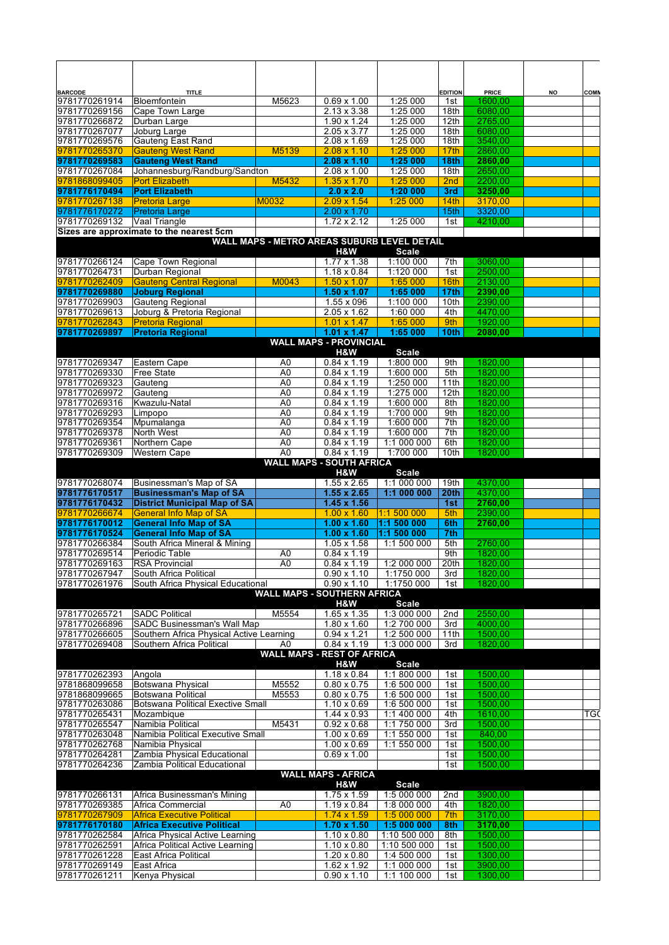| <b>BARCODE</b><br>9781770261914 | <b>TITLE</b><br>Bloemfontein                                   | M5623                            | $0.69 \times 1.00$                                       | 1:25 000                    | <b>EDITION</b><br>1st   | <b>PRICE</b><br>1600,00 | NO | COMN |
|---------------------------------|----------------------------------------------------------------|----------------------------------|----------------------------------------------------------|-----------------------------|-------------------------|-------------------------|----|------|
| 9781770269156                   | Cape Town Large                                                |                                  | $2.13 \times 3.38$                                       | 1:25 000                    | 18th                    | 6080,00                 |    |      |
| 9781770266872                   | Durban Large                                                   |                                  | 1.90 x 1.24                                              | 1:25 000                    | 12 <sub>th</sub>        | 2765,00                 |    |      |
| 9781770267077<br>9781770269576  | Joburg Large<br><b>Gauteng East Rand</b>                       |                                  | $2.05 \times 3.77$<br>$2.08 \times 1.69$                 | 1:25 000<br>1:25 000        | 18th<br>18th            | 6080,00<br>3540.00      |    |      |
| 9781770265370                   | <b>Gauteng West Rand</b>                                       | M5139                            | $2.08 \times 1.10$                                       | 1:25 000                    | 17 <sub>th</sub>        | 2860,00                 |    |      |
| 9781770269583                   | <b>Gauteng West Rand</b>                                       |                                  | $2.08 \times 1.10$                                       | 1:25 000                    | 18th                    | 2860,00                 |    |      |
| 9781770267084                   | Johannesburg/Randburg/Sandton                                  |                                  | $2.08 \times 1.00$                                       | 1:25 000                    | 18th                    | 2650,00                 |    |      |
| 9781868099405                   | <b>Port Elizabeth</b>                                          | M5432                            | $1.35 \times 1.70$                                       | 1:25 000                    | 2 <sub>nd</sub>         | 2200,00                 |    |      |
| 9781776170494<br>9781770267138  | <b>Port Elizabeth</b>                                          |                                  | $2.0 \times 2.0$                                         | 1:20 000<br>1:25 000        | 3rd                     | 3250,00                 |    |      |
| 9781776170272                   | <b>Pretoria Large</b><br><b>Pretoria Large</b>                 | M0032                            | $2.09 \times 1.54$<br>$2.00 \times 1.70$                 |                             | 14th<br>15th            | 3170,00<br>3320,00      |    |      |
| 9781770269132                   | Vaal Triangle                                                  |                                  | $1.72 \times 2.12$                                       | 1:25 000                    | 1st                     | 4210,00                 |    |      |
|                                 | Sizes are approximate to the nearest 5cm                       |                                  |                                                          |                             |                         |                         |    |      |
|                                 |                                                                |                                  | WALL MAPS - METRO AREAS SUBURB LEVEL DETAIL              |                             |                         |                         |    |      |
| 9781770266124                   | Cape Town Regional                                             |                                  | H&W<br>$1.77 \times 1.38$                                | <b>Scale</b><br>1:100 000   | 7th                     | 3060,00                 |    |      |
| 9781770264731                   | Durban Regional                                                |                                  | $1.18 \times 0.84$                                       | 1:120 000                   | 1st                     | 2500,00                 |    |      |
| 9781770262409                   | <b>Gauteng Central Regional</b>                                | M0043                            | $1.50 \times 1.07$                                       | 1:65 000                    | 16th                    | 2130,00                 |    |      |
| 9781770269880                   | <b>Joburg Regional</b>                                         |                                  | $1.50 \times 1.07$                                       | 1:65 000                    | 17th                    | 2390,00                 |    |      |
| 9781770269903                   | Gauteng Regional                                               |                                  | 1.55 x 096                                               | 1:100 000                   | 10th                    | 2390,00                 |    |      |
| 9781770269613<br>9781770262843  | Joburg & Pretoria Regional                                     |                                  | $2.05 \times 1.62$                                       | 1:60 000<br>1:65 000        | 4th                     | 4470,00<br>1920,00      |    |      |
| 9781770269897                   | <b>Pretoria Regional</b><br><b>Pretoria Regional</b>           |                                  | $1.01 \times 1.47$<br>$1.01 \times 1.47$                 | 1:65 000                    | 9th<br>10 <sub>th</sub> | 2080,00                 |    |      |
|                                 |                                                                |                                  | <b>WALL MAPS - PROVINCIAL</b>                            |                             |                         |                         |    |      |
|                                 |                                                                |                                  | H&W                                                      | <b>Scale</b>                |                         |                         |    |      |
| 9781770269347                   | Eastern Cape                                                   | A <sub>0</sub>                   | $0.84 \times 1.19$                                       | 1:800 000                   | 9th                     | 1820.00                 |    |      |
| 9781770269330                   | <b>Free State</b>                                              | A <sub>0</sub>                   | $0.84 \times 1.19$<br>$0.84 \times 1.19$                 | 1:600 000<br>1:250 000      | 5th                     | 1820,00<br>1820,00      |    |      |
| 9781770269323<br>9781770269972  | Gauteng<br>Gauteng                                             | A <sub>0</sub><br>A <sub>0</sub> | $0.84 \times 1.19$                                       | 1:275 000                   | 11th<br>12th            | 1820,00                 |    |      |
| 9781770269316                   | Kwazulu-Natal                                                  | A <sub>0</sub>                   | $0.84 \times 1.19$                                       | 1:600 000                   | 8th                     | 1820,00                 |    |      |
| 9781770269293                   | Limpopo                                                        | A <sub>0</sub>                   | $0.84 \times 1.19$                                       | 1:700 000                   | 9th                     | 1820,00                 |    |      |
| 9781770269354                   | Mpumalanga                                                     | A <sub>0</sub>                   | $0.84 \times 1.19$                                       | 1:600 000                   | 7th                     | 1820,00                 |    |      |
| 9781770269378                   | North West                                                     | A <sub>0</sub>                   | $0.84 \times 1.19$                                       | 1:600 000                   | 7th                     | 1820,00                 |    |      |
| 9781770269361                   | Northern Cape                                                  | A <sub>0</sub>                   | $0.84 \times 1.19$                                       | 1:1 000 000                 | 6th                     | 1820,00                 |    |      |
| 9781770269309                   | Western Cape                                                   | A <sub>0</sub>                   | $0.84 \times 1.19$<br><b>WALL MAPS - SOUTH AFRICA</b>    | 1:700 000                   | 10th                    | 1820,00                 |    |      |
|                                 |                                                                |                                  | H&W                                                      | <b>Scale</b>                |                         |                         |    |      |
| 9781770268074                   | Businessman's Map of SA                                        |                                  | $1.55 \times 2.65$                                       | 1:1 000 000                 | 19th                    | 4370,00                 |    |      |
| 9781776170517                   | <b>Businessman's Map of SA</b>                                 |                                  | $1.55 \times 2.65$                                       | 1:1 000 000                 | 20 <sub>th</sub>        | 4370,00                 |    |      |
| 9781776170432                   | <b>District Municipal Map of SA</b>                            |                                  | $1.45 \times 1.56$                                       |                             | 1st                     | 2760,00                 |    |      |
| 9781770266674<br>9781776170012  | <b>General Info Map of SA</b><br><b>General Info Map of SA</b> |                                  | $1.00 \times 1.60$<br>$1.00 \times 1.60$                 | 1:1 500 000<br>1:1 500 000  | 5th<br>6th              | 2390.00<br>2760,00      |    |      |
| 9781776170524                   | <b>General Info Map of SA</b>                                  |                                  | $1.00 \times 1.60$                                       | 1:1 500 000                 | 7th                     |                         |    |      |
| 9781770266384                   | South Africa Mineral & Mining                                  |                                  | $1.05 \times 1.58$                                       | 1:1 500 000                 | 5th                     | 2760,00                 |    |      |
| 9781770269514                   | Periodic Table                                                 | A0                               | $0.84 \times 1.19$                                       |                             | 9th                     | 1820.00                 |    |      |
| 9781770269163                   | <b>RSA Provincial</b>                                          | A <sub>0</sub>                   | $0.84 \times 1.19$                                       | 1:2 000 000                 | 20th                    | 1820,00                 |    |      |
| 9781770267947                   | South Africa Political                                         |                                  | $0.90 \times 1.10$                                       | 1:1750 000                  | 3rd                     | 1820.00                 |    |      |
| 9781770261976                   | South Africa Physical Educational                              |                                  | $0.90 \times 1.10$<br><b>WALL MAPS - SOUTHERN AFRICA</b> | 1:1750 000                  | 1st                     | 1820,00                 |    |      |
|                                 |                                                                |                                  | H&W                                                      | <b>Scale</b>                |                         |                         |    |      |
| 9781770265721                   | <b>SADC Political</b>                                          | M5554                            | $1.65 \times 1.35$                                       | 1:3 000 000                 | 2nd                     | 2550,00                 |    |      |
| 9781770266896                   | SADC Businessman's Wall Map                                    |                                  | $1.80 \times 1.60$                                       | 1:2 700 000                 | 3rd                     | 4000,00                 |    |      |
| 9781770266605                   | Southern Africa Physical Active Learning                       |                                  | $0.94 \times 1.21$                                       | 1:2 500 000                 | 11th                    | 1500,00                 |    |      |
| 9781770269408                   | Southern Africa Political                                      | A <sub>0</sub>                   | $0.84 \times 1.19$<br><b>WALL MAPS - REST OF AFRICA</b>  | 1:3 000 000                 | 3rd                     | 1820,00                 |    |      |
|                                 |                                                                |                                  | H&W                                                      | <b>Scale</b>                |                         |                         |    |      |
| 9781770262393                   | Angola                                                         |                                  | $1.18 \times 0.84$                                       | 1:1 800 000                 | 1st                     | 1500,00                 |    |      |
| 9781868099658                   | Botswana Physical                                              | M5552                            | $0.80 \times 0.75$                                       | 1:6 500 000                 | 1st                     | 1500.00                 |    |      |
| 9781868099665                   | <b>Botswana Political</b>                                      | M5553                            | $0.80 \times 0.75$                                       | 1:6 500 000                 | 1st                     | 1500,00                 |    |      |
| 9781770263086<br>9781770265431  | <b>Botswana Political Exective Small</b><br>Mozambique         |                                  | $1.10 \times 0.69$<br>$1.44 \times 0.93$                 | 1:6 500 000<br>1:1 400 000  | 1st<br>4th              | 1500,00<br>1610,00      |    | TGC  |
| 9781770265547                   | Namibia Political                                              | M5431                            | $0.92 \times 0.68$                                       | 1:1 750 000                 | 3rd                     | 1500,00                 |    |      |
| 9781770263048                   | Namibia Political Executive Small                              |                                  | $1.00 \times 0.69$                                       | 1:1 550 000                 | 1st                     | 840,00                  |    |      |
| 9781770262768                   | Namibia Physical                                               |                                  | $1.00 \times 0.69$                                       | 1:1 550 000                 | 1st                     | 1500,00                 |    |      |
| 9781770264281                   | Zambia Physical Educational                                    |                                  | $0.69 \times 1.00$                                       |                             | 1st                     | 1500,00                 |    |      |
| 9781770264236                   | Zambia Political Educational                                   |                                  | <b>WALL MAPS - AFRICA</b>                                |                             | 1st                     | 1500,00                 |    |      |
|                                 |                                                                |                                  | H&W                                                      | <b>Scale</b>                |                         |                         |    |      |
| 9781770266131                   | Africa Businessman's Mining                                    |                                  | $1.75 \times 1.59$                                       | 1:5 000 000                 | 2nd                     | 3900,00                 |    |      |
| 9781770269385                   | Africa Commercial                                              | A <sub>0</sub>                   | $1.19 \times 0.84$                                       | 1:8 000 000                 | 4th                     | 1820,00                 |    |      |
| 9781770267909                   | <b>Africa Executive Political</b>                              |                                  | $1.74 \times 1.59$                                       | 1:5 000 000                 | 7th                     | 3170,00                 |    |      |
| 9781776170180                   | <b>Africa Executive Political</b>                              |                                  | $1.70 \times 1.50$                                       | 1:5 000 000                 | 8th                     | 3170,00                 |    |      |
| 9781770262584                   | Africa Physical Active Learning                                |                                  | $1.10 \times 0.80$                                       | 1:10 500 000                | 8th                     | 1500,00                 |    |      |
| 9781770262591<br>9781770261228  | Africa Political Active Learning<br>East Africa Political      |                                  | $1.10 \times 0.80$<br>$1.20 \times 0.80$                 | 1:10 500 000<br>1:4 500 000 | 1st<br>1st              | 1500,00<br>1300,00      |    |      |
| 9781770269149                   | East Africa                                                    |                                  | 1.62 x 1.92                                              | 1:1 000 000                 | 1st                     | 3900,00                 |    |      |
| 9781770261211                   | Kenya Physical                                                 |                                  | $0.90 \times 1.10$                                       | 1:1 100 000                 | 1st                     | 1300,00                 |    |      |